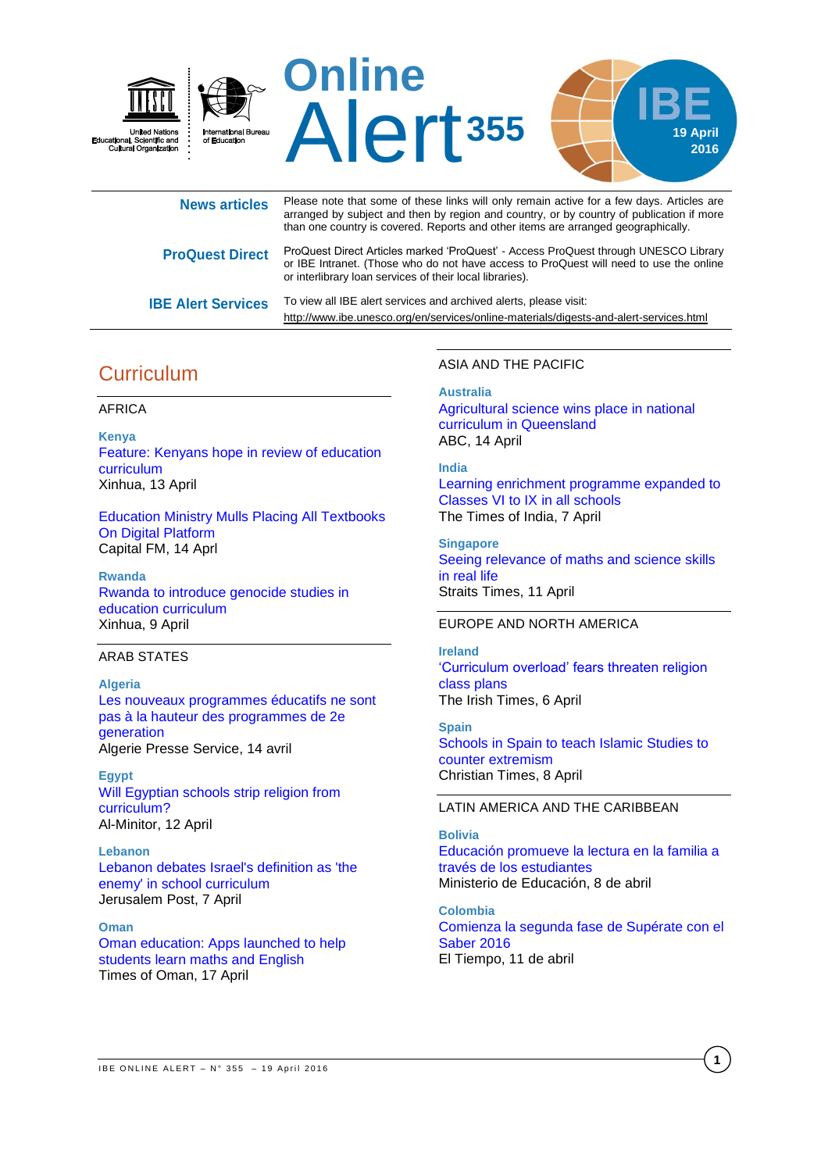

| <b>News articles</b>      | Please note that some of these links will only remain active for a few days. Articles are<br>arranged by subject and then by region and country, or by country of publication if more<br>than one country is covered. Reports and other items are arranged geographically. |
|---------------------------|----------------------------------------------------------------------------------------------------------------------------------------------------------------------------------------------------------------------------------------------------------------------------|
| <b>ProQuest Direct</b>    | ProQuest Direct Articles marked 'ProQuest' - Access ProQuest through UNESCO Library<br>or IBE Intranet. (Those who do not have access to ProQuest will need to use the online<br>or interlibrary loan services of their local libraries).                                  |
| <b>IBE Alert Services</b> | To view all IBE alert services and archived alerts, please visit:<br>http://www.ibe.unesco.org/en/services/online-materials/digests-and-alert-services.html                                                                                                                |

# **Curriculum**

#### AFRICA

**Kenya** [Feature: Kenyans hope in review of education](http://news.xinhuanet.com/english/2016-04/11/c_135269013.htm)  [curriculum](http://news.xinhuanet.com/english/2016-04/11/c_135269013.htm) Xinhua, 13 April

[Education Ministry Mulls Placing All Textbooks](http://allafrica.com/stories/201604150959.html)  [On Digital Platform](http://allafrica.com/stories/201604150959.html) Capital FM, 14 Aprl

**Rwanda** [Rwanda to introduce genocide studies in](http://news.xinhuanet.com/english/2016-04/09/c_135263902.htm)  [education curriculum](http://news.xinhuanet.com/english/2016-04/09/c_135263902.htm) Xinhua, 9 April

#### ARAB STATES

**Algeria** [Les nouveaux programmes éducatifs ne sont](http://www.aps.dz/algerie/40392-les-nouveaux-programmes-%C3%A9ducatifs-ne-sont-pas-%C3%A0-la-hauteur-des-programmes-de-2e-g%C3%A9n%C3%A9ration)  [pas à la hauteur des programmes de 2e](http://www.aps.dz/algerie/40392-les-nouveaux-programmes-%C3%A9ducatifs-ne-sont-pas-%C3%A0-la-hauteur-des-programmes-de-2e-g%C3%A9n%C3%A9ration)  [generation](http://www.aps.dz/algerie/40392-les-nouveaux-programmes-%C3%A9ducatifs-ne-sont-pas-%C3%A0-la-hauteur-des-programmes-de-2e-g%C3%A9n%C3%A9ration) Algerie Presse Service, 14 avril

**Egypt** [Will Egyptian schools strip religion from](http://www.al-monitor.com/pulse/originals/2016/04/egypt-call-parliament-remove-religion-course-public-schools.html)  [curriculum?](http://www.al-monitor.com/pulse/originals/2016/04/egypt-call-parliament-remove-religion-course-public-schools.html) Al-Minitor, 12 April

**Lebanon** [Lebanon debates Israel's definition as 'the](http://www.jpost.com/Arab-Israeli-Conflict/Lebanon-debates-Israels-definition-as-an-enemy-in-the-school-curriculum-450548)  [enemy' in school curriculum](http://www.jpost.com/Arab-Israeli-Conflict/Lebanon-debates-Israels-definition-as-an-enemy-in-the-school-curriculum-450548) Jerusalem Post, 7 April

**Oman** [Oman education: Apps launched to help](http://timesofoman.com/article/81694/Oman/Education/Oman)  [students learn maths and English](http://timesofoman.com/article/81694/Oman/Education/Oman) Times of Oman, 17 April

#### ASIA AND THE PACIFIC

**Australia**

[Agricultural science wins place in national](http://www.abc.net.au/news/2016-04-14/agricultural-science-wins-place-in-national-curriculum/7327470)  [curriculum in Queensland](http://www.abc.net.au/news/2016-04-14/agricultural-science-wins-place-in-national-curriculum/7327470) ABC, 14 April

#### **India**

[Learning enrichment programme expanded to](http://timesofindia.indiatimes.com/home/education/news/Learning-enrichment-programme-expanded-to-Classes-VI-to-IX-in-all-schools/articleshow/51730078.cms)  [Classes VI to IX in all schools](http://timesofindia.indiatimes.com/home/education/news/Learning-enrichment-programme-expanded-to-Classes-VI-to-IX-in-all-schools/articleshow/51730078.cms) The Times of India, 7 April

**Singapore** [Seeing relevance of maths and science skills](http://www.straitstimes.com/singapore/education/seeing-relevance-of-maths-and-science-skills-in-real-life)  [in real life](http://www.straitstimes.com/singapore/education/seeing-relevance-of-maths-and-science-skills-in-real-life) Straits Times, 11 April

## EUROPE AND NORTH AMERICA

**Ireland** ['Curriculum overload' fears threaten religion](http://www.irishtimes.com/news/education/curriculum-overload-fears-threaten-religion-class-plans-1.2601046)  [class plans](http://www.irishtimes.com/news/education/curriculum-overload-fears-threaten-religion-class-plans-1.2601046) The Irish Times, 6 April

**Spain** [Schools in Spain to teach Islamic Studies to](http://christiantimes.com/article/schools-in-spain-to-teach-islamic-studies-to-counter-extremism/54457.htm)  [counter extremism](http://christiantimes.com/article/schools-in-spain-to-teach-islamic-studies-to-counter-extremism/54457.htm) Christian Times, 8 April

LATIN AMERICA AND THE CARIBBEAN

## **Bolivia** [Educación promueve la lectura en la familia a](http://www.minedu.gob.bo/index.php/prensa/noticias-recientes/3-noticias-recientes/3514-educacion-promueve-la-lectura-en-la-familia-a-traves-de-los-estudiantes)  [través de los estudiantes](http://www.minedu.gob.bo/index.php/prensa/noticias-recientes/3-noticias-recientes/3514-educacion-promueve-la-lectura-en-la-familia-a-traves-de-los-estudiantes) Ministerio de Educación, 8 de abril

**Colombia** [Comienza la segunda fase de Supérate con el](http://www.eltiempo.com/estilo-de-vida/educacion/comienza-la-segunda-fase-de-las-pruebas-superate-con-el-saber-2016-/16560881)  [Saber 2016](http://www.eltiempo.com/estilo-de-vida/educacion/comienza-la-segunda-fase-de-las-pruebas-superate-con-el-saber-2016-/16560881) El Tiempo, 11 de abril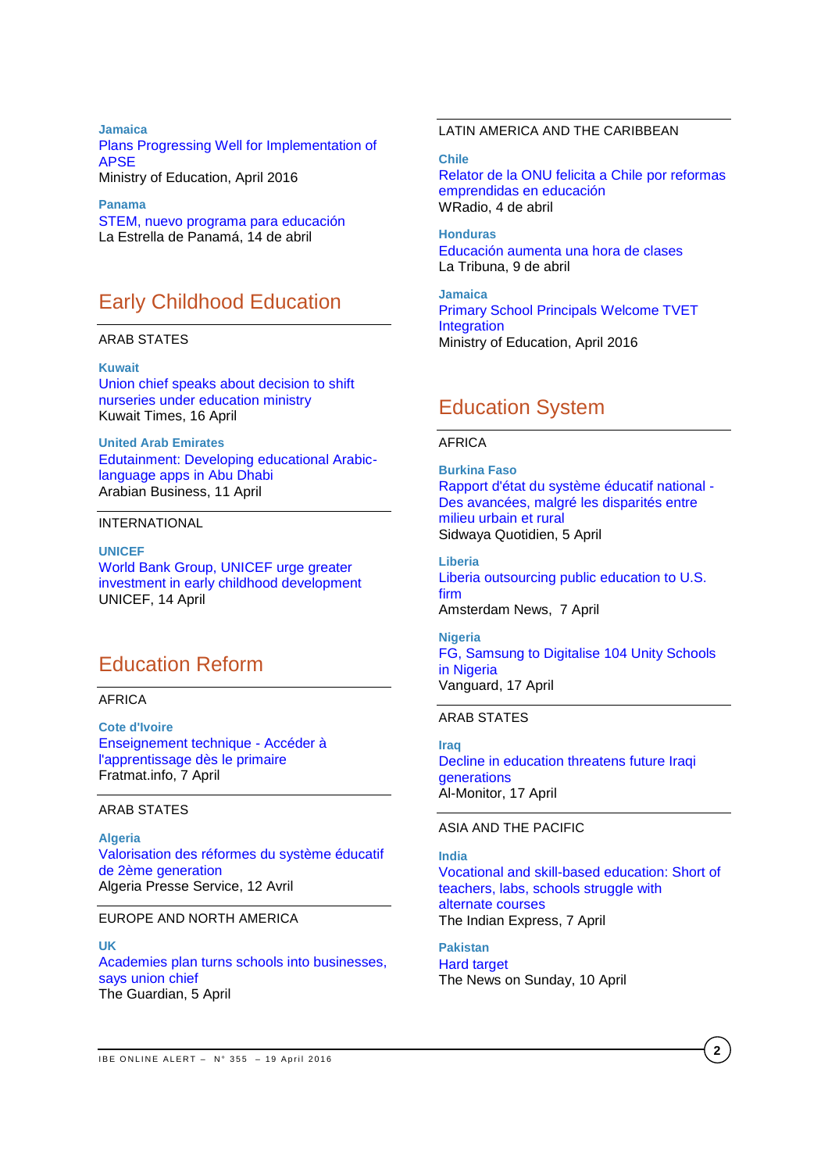#### **Jamaica**

[Plans Progressing Well for Implementation of](http://www.moey.gov.jm/plans-progressing-well-implementation-apse)  [APSE](http://www.moey.gov.jm/plans-progressing-well-implementation-apse) Ministry of Education, April 2016

**Panama** [STEM, nuevo programa para educación](http://laestrella.com.pa/panama/nacional/stem-nuevo-programa-para-educacion/23933823) La Estrella de Panamá, 14 de abril

# Early Childhood Education

#### ARAB STATES

**Kuwait** [Union chief speaks about decision to shift](http://news.kuwaittimes.net/website/22908-2/)  [nurseries under education ministry](http://news.kuwaittimes.net/website/22908-2/) Kuwait Times, 16 April

**United Arab Emirates** [Edutainment: Developing educational Arabic](http://www.arabianbusiness.com/edutainment-developing-educational-arabic-language-apps-in-abu-dhabi-627025.html)[language apps in Abu Dhabi](http://www.arabianbusiness.com/edutainment-developing-educational-arabic-language-apps-in-abu-dhabi-627025.html) Arabian Business, 11 April

#### INTERNATIONAL

**UNICEF** [World Bank Group, UNICEF](http://www.unicef.org/media/media_90863.html) urge greater [investment in early childhood development](http://www.unicef.org/media/media_90863.html) UNICEF, 14 April

# Education Reform

#### AFRICA

**Cote d'Ivoire** [Enseignement technique -](http://fr.allafrica.com/stories/201604071075.html) Accéder à [l'apprentissage dès le primaire](http://fr.allafrica.com/stories/201604071075.html) Fratmat.info, 7 April

#### ARAB STATES

**Algeria** [Valorisation des réformes du système éducatif](http://www.aps.dz/regions/40270-valorisation-des-r%C3%A9formes-du-syst%C3%A8me-%C3%A9ducatif-de-2%C3%A8me-g%C3%A9n%C3%A9ration)  [de 2ème generation](http://www.aps.dz/regions/40270-valorisation-des-r%C3%A9formes-du-syst%C3%A8me-%C3%A9ducatif-de-2%C3%A8me-g%C3%A9n%C3%A9ration) Algeria Presse Service, 12 Avril

#### EUROPE AND NORTH AMERICA

**UK**  [Academies plan turns schools into businesses,](http://www.theguardian.com/education/2016/apr/05/academies-plan-turns-schools-businesses-union-mary-bousted-atl)  [says union chief](http://www.theguardian.com/education/2016/apr/05/academies-plan-turns-schools-businesses-union-mary-bousted-atl) The Guardian, 5 April

#### LATIN AMERICA AND THE CARIBBEAN

**Chile**

[Relator de la ONU felicita a Chile por reformas](http://www.wradio.com.co/noticias/internacional/relator-de-la-onu-felicita-a-chile-por-reformas-emprendidas-en-educacion/20160404/nota/3099915.aspx)  [emprendidas en educación](http://www.wradio.com.co/noticias/internacional/relator-de-la-onu-felicita-a-chile-por-reformas-emprendidas-en-educacion/20160404/nota/3099915.aspx) WRadio, 4 de abril

**Honduras** [Educación aumenta una hora de clases](http://www.latribuna.hn/2016/04/09/educacion-aumenta-una-hora-clases/) La Tribuna, 9 de abril

**Jamaica** [Primary School Principals Welcome TVET](http://moey.gov.jm/primary-school-principals-welcome-tvet-integration)  [Integration](http://moey.gov.jm/primary-school-principals-welcome-tvet-integration) Ministry of Education, April 2016

## Education System

#### AFRICA

**Burkina Faso** [Rapport d'état du système éducatif national -](http://fr.allafrica.com/stories/201604060462.html) [Des avancées, malgré les disparités entre](http://fr.allafrica.com/stories/201604060462.html)  [milieu urbain et rural](http://fr.allafrica.com/stories/201604060462.html) Sidwaya Quotidien, 5 April

**Liberia** [Liberia outsourcing public education to U.S.](http://amsterdamnews.com/news/2016/apr/07/liberia-outsourcing-public-education-us-firm-1/)  [firm](http://amsterdamnews.com/news/2016/apr/07/liberia-outsourcing-public-education-us-firm-1/) Amsterdam News, 7 April

**Nigeria** [FG, Samsung to Digitalise 104 Unity Schools](http://allafrica.com/stories/201604170214.html)  [in Nigeria](http://allafrica.com/stories/201604170214.html) Vanguard, 17 April

#### ARAB STATES

**Iraq** [Decline in education threatens future Iraqi](http://www.al-monitor.com/pulse/originals/2016/04/iraq-schools-need-corruption-education-overcrowded-classroom.html)  [generations](http://www.al-monitor.com/pulse/originals/2016/04/iraq-schools-need-corruption-education-overcrowded-classroom.html) Al-Monitor, 17 April

#### ASIA AND THE PACIFIC

### **India**

[Vocational and skill-based education: Short of](http://indianexpress.com/article/cities/chandigarh/vocational-and-skill-based-education-short-of-teachers-labs-schools-struggle-with-alternate-courses/)  [teachers, labs, schools struggle with](http://indianexpress.com/article/cities/chandigarh/vocational-and-skill-based-education-short-of-teachers-labs-schools-struggle-with-alternate-courses/)  [alternate](http://indianexpress.com/article/cities/chandigarh/vocational-and-skill-based-education-short-of-teachers-labs-schools-struggle-with-alternate-courses/) courses The Indian Express, 7 April

**Pakistan** [Hard target](http://tns.thenews.com.pk/hard-target/#.Vw3rjvmLSUk) The News on Sunday, 10 April

**2**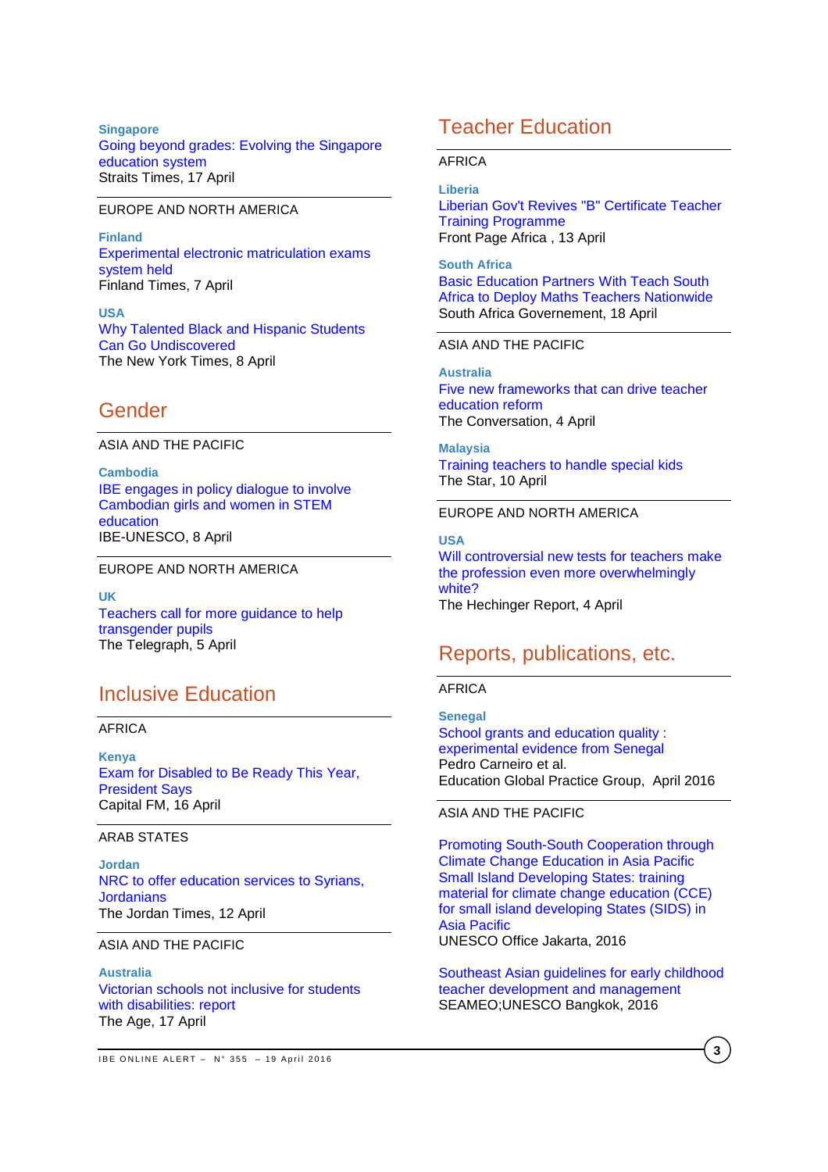**Singapore** [Going beyond grades: Evolving the Singapore](http://www.straitstimes.com/singapore/education/going-beyond-grades-evolving-the-singapore-education-system)  [education system](http://www.straitstimes.com/singapore/education/going-beyond-grades-evolving-the-singapore-education-system) Straits Times, 17 April

#### EUROPE AND NORTH AMERICA

**Finland** [Experimental electronic matriculation exams](http://www.finlandtimes.fi/education/2016/04/07/26237/Experimental-electronic-matriculation-exams-system-held)  [system held](http://www.finlandtimes.fi/education/2016/04/07/26237/Experimental-electronic-matriculation-exams-system-held) Finland Times, 7 April

**USA** [Why Talented Black and Hispanic Students](http://www.nytimes.com/2016/04/10/upshot/why-talented-black-and-hispanic-students-can-go-undiscovered.html?rref=collection%2Fsectioncollection%2Feducation&action=click&contentCollection=education®ion=rank&module=package&version=highlights&contentPlacement=5&pgtype=sectionfront)  [Can Go Undiscovered](http://www.nytimes.com/2016/04/10/upshot/why-talented-black-and-hispanic-students-can-go-undiscovered.html?rref=collection%2Fsectioncollection%2Feducation&action=click&contentCollection=education®ion=rank&module=package&version=highlights&contentPlacement=5&pgtype=sectionfront) The New York Times, 8 April

## Gender

#### ASIA AND THE PACIFIC

**Cambodia** [IBE engages in policy dialogue to involve](http://www.ibe.unesco.org/en/news/ibe-engages-policy-dialogue-involve-cambodian-girls-and-women-stem-education)  [Cambodian girls and women in STEM](http://www.ibe.unesco.org/en/news/ibe-engages-policy-dialogue-involve-cambodian-girls-and-women-stem-education)  [education](http://www.ibe.unesco.org/en/news/ibe-engages-policy-dialogue-involve-cambodian-girls-and-women-stem-education) IBE-UNESCO, 8 April

EUROPE AND NORTH AMERICA

**UK**  [Teachers call for more guidance to help](http://www.telegraph.co.uk/education/2016/04/05/teachers-call-for-more-guidance-to-help-transgender-pupils/)  [transgender pupils](http://www.telegraph.co.uk/education/2016/04/05/teachers-call-for-more-guidance-to-help-transgender-pupils/) The Telegraph, 5 April

## Inclusive Education

AFRICA

**Kenya** [Exam for Disabled to Be Ready This Year,](http://allafrica.com/stories/201604160381.html)  [President Says](http://allafrica.com/stories/201604160381.html) Capital FM, 16 April

#### ARAB STATES

**Jordan** [NRC to offer education services to Syrians,](http://www.jordantimes.com/news/local/nrc-offer-education-services-syrians-jordanians)  **[Jordanians](http://www.jordantimes.com/news/local/nrc-offer-education-services-syrians-jordanians)** The Jordan Times, 12 April

#### ASIA AND THE PACIFIC

**Australia** [Victorian schools not inclusive for students](http://www.theage.com.au/victoria/victorian-schools-not-inclusive-for-students-with-disabilities-report-20160417-go8d10.html)  [with disabilities: report](http://www.theage.com.au/victoria/victorian-schools-not-inclusive-for-students-with-disabilities-report-20160417-go8d10.html) The Age, 17 April

#### AFRICA

#### **Liberia**

[Liberian Gov't Revives "B" Certificate Teacher](http://www.frontpageafricaonline.com/index.php/news/436-liberian-government-revives-b-certificate-teacher-training-programme)  [Training Programme](http://www.frontpageafricaonline.com/index.php/news/436-liberian-government-revives-b-certificate-teacher-training-programme) Front Page Africa , 13 April

**South Africa** [Basic Education Partners With Teach South](http://allafrica.com/stories/201604181384.html)  [Africa to Deploy Maths Teachers Nationwide](http://allafrica.com/stories/201604181384.html) South Africa Governement, 18 April

### ASIA AND THE PACIFIC

**Australia** [Five new frameworks that can drive teacher](http://theconversation.com/five-new-frameworks-that-can-drive-teacher-education-reform-56812)  [education reform](http://theconversation.com/five-new-frameworks-that-can-drive-teacher-education-reform-56812) The Conversation, 4 April

**Malaysia** [Training teachers to handle special kids](http://www.thestar.com.my/news/education/2016/04/10/training-teachers-to-handle-special-kids/) The Star, 10 April

### EUROPE AND NORTH AMERICA

**USA** [Will controversial new tests for teachers make](http://hechingerreport.org/will-controversial-new-tests-for-teachers-make-the-profession-even-more-overwhelmingly-white/)  [the profession even more overwhelmingly](http://hechingerreport.org/will-controversial-new-tests-for-teachers-make-the-profession-even-more-overwhelmingly-white/)  [white?](http://hechingerreport.org/will-controversial-new-tests-for-teachers-make-the-profession-even-more-overwhelmingly-white/) The Hechinger Report, 4 April

## Reports, publications, etc.

#### AFRICA

**Senegal** School grants and education quality : [experimental evidence from Senegal](http://www-wds.worldbank.org/external/default/WDSContentServer/WDSP/IB/2016/04/06/090224b08426bd5c/1_0/Rendered/PDF/School0grants00vidence0from0Senegal.pdf) Pedro Carneiro et al. Education Global Practice Group, April 2016

#### ASIA AND THE PACIFIC

[Promoting South-South Cooperation through](http://unesdoc.unesco.org/images/0024/002443/244336e.pdf)  [Climate Change Education in Asia Pacific](http://unesdoc.unesco.org/images/0024/002443/244336e.pdf)  [Small Island Developing States: training](http://unesdoc.unesco.org/images/0024/002443/244336e.pdf)  [material for climate change education \(CCE\)](http://unesdoc.unesco.org/images/0024/002443/244336e.pdf)  [for small island developing States \(SIDS\) in](http://unesdoc.unesco.org/images/0024/002443/244336e.pdf)  [Asia Pacific](http://unesdoc.unesco.org/images/0024/002443/244336e.pdf) UNESCO Office Jakarta, 2016

[Southeast Asian guidelines for early childhood](http://unesdoc.unesco.org/images/0024/002443/244370e.pdf)  [teacher development and management](http://unesdoc.unesco.org/images/0024/002443/244370e.pdf) SEAMEO;UNESCO Bangkok, 2016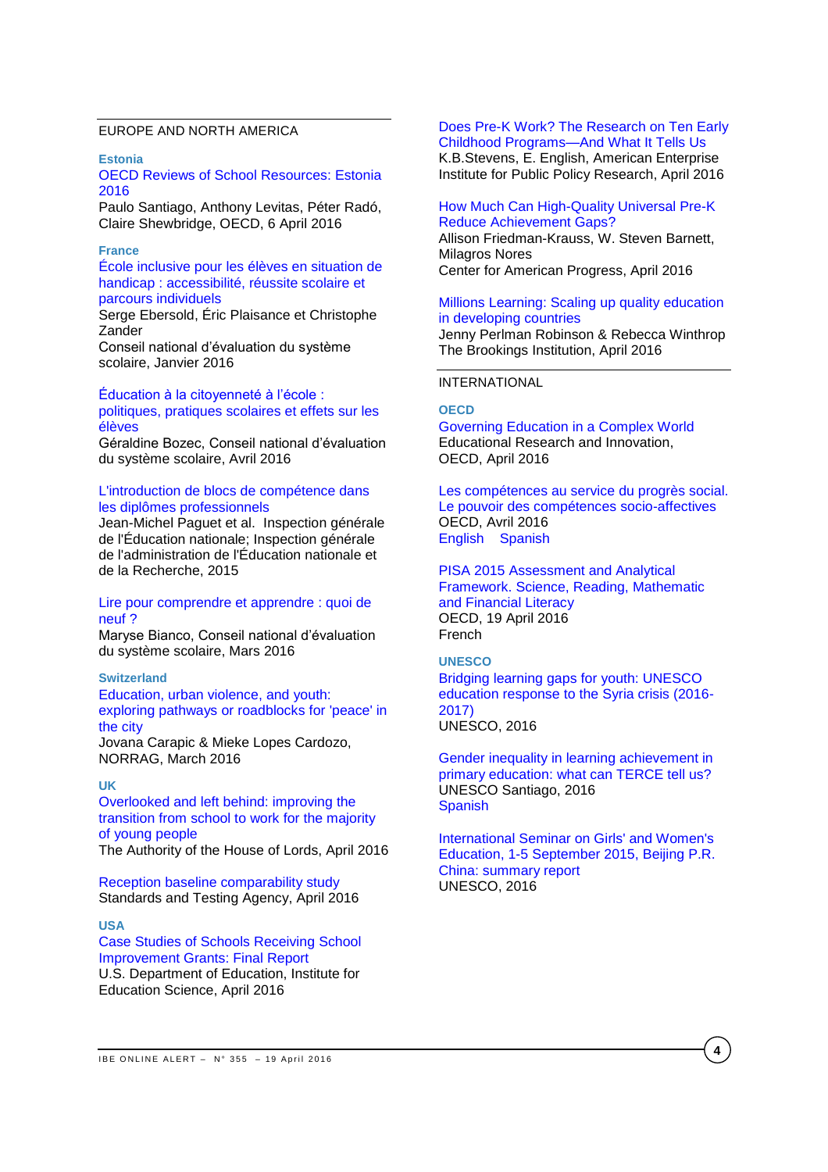### EUROPE AND NORTH AMERICA

**Estonia**

[OECD Reviews of School Resources: Estonia](http://www.oecd-ilibrary.org/docserver/download/9116031e.pdf?expires=1460104838&id=id&accname=guest&checksum=07DD3564B5D57053B577270A38CBBE15)  [2016](http://www.oecd-ilibrary.org/docserver/download/9116031e.pdf?expires=1460104838&id=id&accname=guest&checksum=07DD3564B5D57053B577270A38CBBE15)

Paulo Santiago, Anthony Levitas, Péter Radó, Claire Shewbridge, OECD, 6 April 2016

#### **France**

[École inclusive pour les élèves en situation de](http://www.cnesco.fr/wp-content/uploads/2015/12/rapport_handicap.pdf)  [handicap : accessibilité, réussite scolaire et](http://www.cnesco.fr/wp-content/uploads/2015/12/rapport_handicap.pdf)  [parcours individuels](http://www.cnesco.fr/wp-content/uploads/2015/12/rapport_handicap.pdf)

Serge Ebersold, Éric Plaisance et Christophe Zander

Conseil national d'évaluation du système scolaire, Janvier 2016

[Éducation à la citoyenneté à l'école :](http://www.cnesco.fr/wp-content/uploads/2016/04/Rapport_%C3%A9ducation_citoyennet%C3%A9.pdf)  [politiques, pratiques scolaires et effets sur les](http://www.cnesco.fr/wp-content/uploads/2016/04/Rapport_%C3%A9ducation_citoyennet%C3%A9.pdf)  [élèves](http://www.cnesco.fr/wp-content/uploads/2016/04/Rapport_%C3%A9ducation_citoyennet%C3%A9.pdf)

Géraldine Bozec, Conseil national d'évaluation du système scolaire, Avril 2016

#### [L'introduction de blocs de compétence dans](http://www.ladocumentationfrancaise.fr/var/storage/rapports-publics/164000165.pdf)  [les diplômes professionnels](http://www.ladocumentationfrancaise.fr/var/storage/rapports-publics/164000165.pdf)

Jean-Michel Paguet et al. Inspection générale de l'Éducation nationale; Inspection générale de l'administration de l'Éducation nationale et de la Recherche, 2015

#### [Lire pour comprendre et apprendre : quoi de](http://www.cnesco.fr/wp-content/uploads/2016/03/Rapport_lire_comprendre_apprendre.pdf)  [neuf ?](http://www.cnesco.fr/wp-content/uploads/2016/03/Rapport_lire_comprendre_apprendre.pdf)

Maryse Bianco, Conseil national d'évaluation du système scolaire, Mars 2016

#### **Switzerland**

[Education, urban violence, and youth:](http://www.norrag.org/fileadmin/Working_Papers/Working_Paper__10_Carapic_Lopes_Cardozo.pdf)  [exploring pathways or roadblocks for 'peace' in](http://www.norrag.org/fileadmin/Working_Papers/Working_Paper__10_Carapic_Lopes_Cardozo.pdf)  [the city](http://www.norrag.org/fileadmin/Working_Papers/Working_Paper__10_Carapic_Lopes_Cardozo.pdf)

Jovana Carapic & Mieke Lopes Cardozo, NORRAG, March 2016

#### **UK**

[Overlooked and left behind: improving the](http://www.publications.parliament.uk/pa/ld201516/ldselect/ldsocmob/120/120.pdf)  [transition from school to work for the](http://www.publications.parliament.uk/pa/ld201516/ldselect/ldsocmob/120/120.pdf) majority [of young people](http://www.publications.parliament.uk/pa/ld201516/ldselect/ldsocmob/120/120.pdf) The Authority of the House of Lords, April 2016

[Reception baseline comparability study](https://www.gov.uk/government/uploads/system/uploads/attachment_data/file/514581/Reception_baseline_comparability_study.pdf) Standards and Testing Agency, April 2016

#### **USA**

[Case Studies of Schools Receiving School](http://ies.ed.gov/ncee/pubs/20164002/pdf/20164002.pdf)  [Improvement Grants: Final Report](http://ies.ed.gov/ncee/pubs/20164002/pdf/20164002.pdf) U.S. Department of Education, Institute for Education Science, April 2016

## [Does Pre-K Work? The Research on Ten Early](http://www.aei.org/wp-content/uploads/2016/04/Does-Pre-K-Work.pdf)

[Childhood Programs—And What It Tells Us](http://www.aei.org/wp-content/uploads/2016/04/Does-Pre-K-Work.pdf) K.B.Stevens, E. English, American Enterprise Institute for Public Policy Research, April 2016

## [How Much Can High-Quality Universal Pre-K](https://cdn.americanprogress.org/wp-content/uploads/2016/04/01115656/NIEER-AchievementGaps-report.pdf)  [Reduce Achievement Gaps?](https://cdn.americanprogress.org/wp-content/uploads/2016/04/01115656/NIEER-AchievementGaps-report.pdf) Allison Friedman-Krauss, W. Steven Barnett, Milagros Nores

Center for American Progress, April 2016

## [Millions Learning: Scaling up quality education](http://www.brookings.edu/~/media/Research/Files/Reports/2016/04/millions-learning/FINAL-Millions-Learning-Report.pdf?la=en)  [in developing countries](http://www.brookings.edu/~/media/Research/Files/Reports/2016/04/millions-learning/FINAL-Millions-Learning-Report.pdf?la=en)

Jenny Perlman Robinson & Rebecca Winthrop The Brookings Institution, April 2016

#### INTERNATIONAL

#### **OECD**

[Governing](http://www.keepeek.com/Digital-Asset-Management/oecd/education/governing-education-in-a-complex-world_9789264255364-en#page202) Education in a Complex World Educational Research and Innovation, OECD, April 2016

[Les compétences au service du progrès social.](http://www.oecd-ilibrary.org/docserver/download/9615012e.pdf?expires=1460724135&id=id&accname=guest&checksum=70CDF9A47A8D4F307DD161FC9583011F)  [Le pouvoir des compétences socio-affectives](http://www.oecd-ilibrary.org/docserver/download/9615012e.pdf?expires=1460724135&id=id&accname=guest&checksum=70CDF9A47A8D4F307DD161FC9583011F) OECD, Avril 2016 [English](http://www.oecd-ilibrary.org/docserver/download/9615011e.pdf?expires=1460724577&id=id&accname=guest&checksum=73BC6337EA3CA6BF846B9092F0E7A3B0) [Spanish](http://www.oecd-ilibrary.org/docserver/download/9615014e.pdf?expires=1460724610&id=id&accname=guest&checksum=995A127757D05B55E0A21B45DCCF5AD6)

PISA 2015 [Assessment](http://www.oecd-ilibrary.org/docserver/download/9816021e.pdf?expires=1461054844&id=id&accname=guest&checksum=795A127FB0D832C3FDD0AAA44D3200B8) and Analytical [Framework.](http://www.oecd-ilibrary.org/docserver/download/9816021e.pdf?expires=1461054844&id=id&accname=guest&checksum=795A127FB0D832C3FDD0AAA44D3200B8) Science, Reading, Mathematic and [Financial](http://www.oecd-ilibrary.org/docserver/download/9816021e.pdf?expires=1461054844&id=id&accname=guest&checksum=795A127FB0D832C3FDD0AAA44D3200B8) Literacy OECD, 19 April 2016 French

#### **UNESCO**

[Bridging learning gaps for youth: UNESCO](http://unesdoc.unesco.org/images/0024/002443/244333e.pdf)  [education response to the Syria crisis \(2016-](http://unesdoc.unesco.org/images/0024/002443/244333e.pdf) [2017\)](http://unesdoc.unesco.org/images/0024/002443/244333e.pdf) UNESCO, 2016

[Gender inequality in learning achievement in](http://unesdoc.unesco.org/images/0024/002443/244349e.pdf)  [primary education: what can TERCE tell us?](http://unesdoc.unesco.org/images/0024/002443/244349e.pdf) UNESCO Santiago, 2016 [Spanish](http://unesdoc.unesco.org/images/0024/002443/244349s.pdf)

[International Seminar on Girls' and Women's](http://unesdoc.unesco.org/images/0024/002443/244351m.pdf)  [Education, 1-5 September 2015, Beijing P.R.](http://unesdoc.unesco.org/images/0024/002443/244351m.pdf)  [China: summary report](http://unesdoc.unesco.org/images/0024/002443/244351m.pdf) UNESCO, 2016